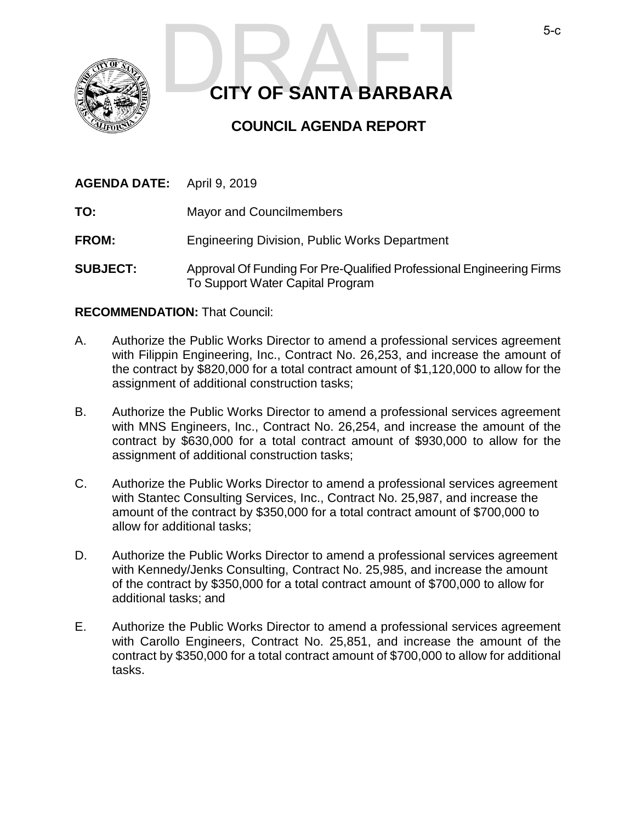

# **CITY OF SANTA BARBARA**  S-C<br>CITY OF SANTA BARBARA

# **COUNCIL AGENDA REPORT**

| <b>AGENDA DATE:</b> April 9, 2019 |                                                      |
|-----------------------------------|------------------------------------------------------|
| TO:                               | <b>Mayor and Councilmembers</b>                      |
| <b>FROM:</b>                      | <b>Engineering Division, Public Works Department</b> |

**SUBJECT:** Approval Of Funding For Pre-Qualified Professional Engineering Firms To Support Water Capital Program

# **RECOMMENDATION:** That Council:

- A. Authorize the Public Works Director to amend a professional services agreement with Filippin Engineering, Inc., Contract No. 26,253, and increase the amount of the contract by \$820,000 for a total contract amount of \$1,120,000 to allow for the assignment of additional construction tasks;
- B. Authorize the Public Works Director to amend a professional services agreement with MNS Engineers, Inc., Contract No. 26,254, and increase the amount of the contract by \$630,000 for a total contract amount of \$930,000 to allow for the assignment of additional construction tasks;
- C. Authorize the Public Works Director to amend a professional services agreement with Stantec Consulting Services, Inc., Contract No. 25,987, and increase the amount of the contract by \$350,000 for a total contract amount of \$700,000 to allow for additional tasks;
- D. Authorize the Public Works Director to amend a professional services agreement with Kennedy/Jenks Consulting, Contract No. 25,985, and increase the amount of the contract by \$350,000 for a total contract amount of \$700,000 to allow for additional tasks; and
- E. Authorize the Public Works Director to amend a professional services agreement with Carollo Engineers, Contract No. 25,851, and increase the amount of the contract by \$350,000 for a total contract amount of \$700,000 to allow for additional tasks.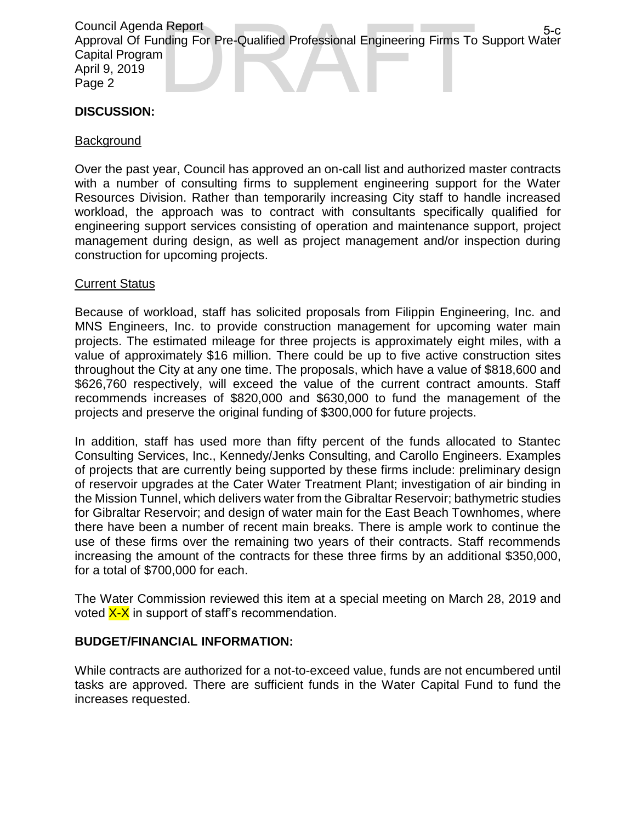Council Agenda Report Approval Of Funding For Pre-Qualified Professional Engineering Firms To Support Water Capital Program April 9, 2019 Page 2 a Report<br>
nding For Pre-Qualified Professional Engineering Firms To Support Water<br>
1

# **DISCUSSION:**

#### Background

Over the past year, Council has approved an on-call list and authorized master contracts with a number of consulting firms to supplement engineering support for the Water Resources Division. Rather than temporarily increasing City staff to handle increased workload, the approach was to contract with consultants specifically qualified for engineering support services consisting of operation and maintenance support, project management during design, as well as project management and/or inspection during construction for upcoming projects.

#### Current Status

Because of workload, staff has solicited proposals from Filippin Engineering, Inc. and MNS Engineers, Inc. to provide construction management for upcoming water main projects. The estimated mileage for three projects is approximately eight miles, with a value of approximately \$16 million. There could be up to five active construction sites throughout the City at any one time. The proposals, which have a value of \$818,600 and \$626,760 respectively, will exceed the value of the current contract amounts. Staff recommends increases of \$820,000 and \$630,000 to fund the management of the projects and preserve the original funding of \$300,000 for future projects.

In addition, staff has used more than fifty percent of the funds allocated to Stantec Consulting Services, Inc., Kennedy/Jenks Consulting, and Carollo Engineers. Examples of projects that are currently being supported by these firms include: preliminary design of reservoir upgrades at the Cater Water Treatment Plant; investigation of air binding in the Mission Tunnel, which delivers water from the Gibraltar Reservoir; bathymetric studies for Gibraltar Reservoir; and design of water main for the East Beach Townhomes, where there have been a number of recent main breaks. There is ample work to continue the use of these firms over the remaining two years of their contracts. Staff recommends increasing the amount of the contracts for these three firms by an additional \$350,000, for a total of \$700,000 for each.

The Water Commission reviewed this item at a special meeting on March 28, 2019 and voted  $X-X$  in support of staff's recommendation.

### **BUDGET/FINANCIAL INFORMATION:**

While contracts are authorized for a not-to-exceed value, funds are not encumbered until tasks are approved. There are sufficient funds in the Water Capital Fund to fund the increases requested.